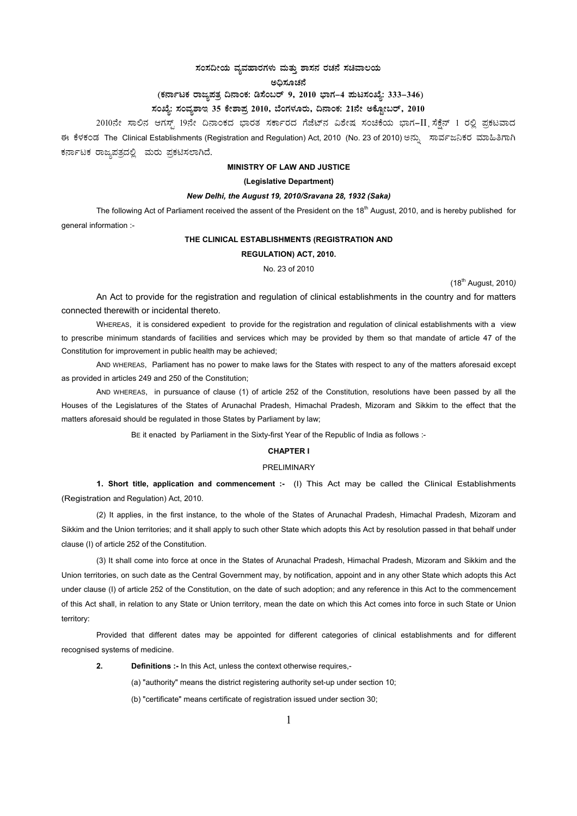# $\vec{a}$ ಸಂಸದೀಯ ವ್ಯವಹಾರಗಳು ಮತ್ತು ಶಾಸನ ರಚನೆ ಸಚಿವಾಲಯ

ಅಧಿಸೂಚನೆ

# (ಕರ್ನಾಟಕ ರಾಜ್ಯಪತ್ರ ದಿನಾಂಕ: ಡಿಸೆಂಬರ್ 9, 2010 ಭಾಗ–4 **ಮಟಸಂಖ್ಯೆ: 333–346**)

# ಸಂಖ್ಯೆ: ಸಂವ್ಯಶಾಇ 35 ಕೇಶಾಪ್ರ 2010, ಬೆಂಗಳೂರು, ದಿನಾಂಕ: 21ನೇ ಅಕ್ಟೋಬರ್, 2010

2010ನೇ ಸಾಲಿನ ಆಗಸ್ಟ್ 19ನೇ ದಿನಾಂಕದ ಭಾರತ ಸರ್ಕಾರದ ಗೆಜೆಟ್ನ ವಿಶೇಷ ಸಂಚಿಕೆಯ ಭಾಗ–II ಸೆಕ್ಷೆನ್ 1 ರಲ್ಲಿ ಪ್ರಕಟವಾದ ಈ ಕೆಳಕಂಡ The Clinical Establishments (Registration and Regulation) Act, 2010 (No. 23 of 2010) ಅನ್ನು ಸಾರ್ವಜನಿಕರ ಮಾಹಿತಿಗಾಗಿ ಕರ್ನಾಟಕ ರಾಜ್ಯಪತ್ರದಲ್ಲಿ ಮರು ಪ್ರಕಟಿಸಲಾಗಿದೆ.

# **MINISTRY OF LAW AND JUSTICE**

#### **(Legislative Department)**

# *New Delhi, the August 19, 2010/Sravana 28, 1932 (Saka)*

The following Act of Parliament received the assent of the President on the 18<sup>th</sup> August, 2010, and is hereby published for general information :-

# **THE CLINICAL ESTABLISHMENTS (REGISTRATION AND**

## **REGULATION) ACT, 2010.**

### No. 23 of 2010

(18th August, 2010*)*

 An Act to provide for the registration and regulation of clinical establishments in the country and for matters connected therewith or incidental thereto.

WHEREAS, it is considered expedient to provide for the registration and regulation of clinical establishments with a view to prescribe minimum standards of facilities and services which may be provided by them so that mandate of article 47 of the Constitution for improvement in public health may be achieved;

AND WHEREAS, Parliament has no power to make laws for the States with respect to any of the matters aforesaid except as provided in articles 249 and 250 of the Constitution;

 AND WHEREAS, in pursuance of clause (1) of article 252 of the Constitution, resolutions have been passed by all the Houses of the Legislatures of the States of Arunachal Pradesh, Himachal Pradesh, Mizoram and Sikkim to the effect that the matters aforesaid should be regulated in those States by Parliament by law;

BE it enacted by Parliament in the Sixty-first Year of the Republic of India as follows :-

# **CHAPTER I**

#### PRELIMINARY

**1. Short title, application and commencement :-** (I) This Act may be called the Clinical Establishments (Registration and Regulation) Act, 2010.

(2) It applies, in the first instance, to the whole of the States of Arunachal Pradesh, Himachal Pradesh, Mizoram and Sikkim and the Union territories; and it shall apply to such other State which adopts this Act by resolution passed in that behalf under clause (I) of article 252 of the Constitution.

(3) It shall come into force at once in the States of Arunachal Pradesh, Himachal Pradesh, Mizoram and Sikkim and the Union territories, on such date as the Central Government may, by notification, appoint and in any other State which adopts this Act under clause (I) of article 252 of the Constitution, on the date of such adoption; and any reference in this Act to the commencement of this Act shall, in relation to any State or Union territory, mean the date on which this Act comes into force in such State or Union territory:

Provided that different dates may be appointed for different categories of clinical establishments and for different recognised systems of medicine.

**2. Definitions :-** In this Act, unless the context otherwise requires,-

(a) "authority" means the district registering authority set-up under section 10;

(b) "certificate" means certificate of registration issued under section 30;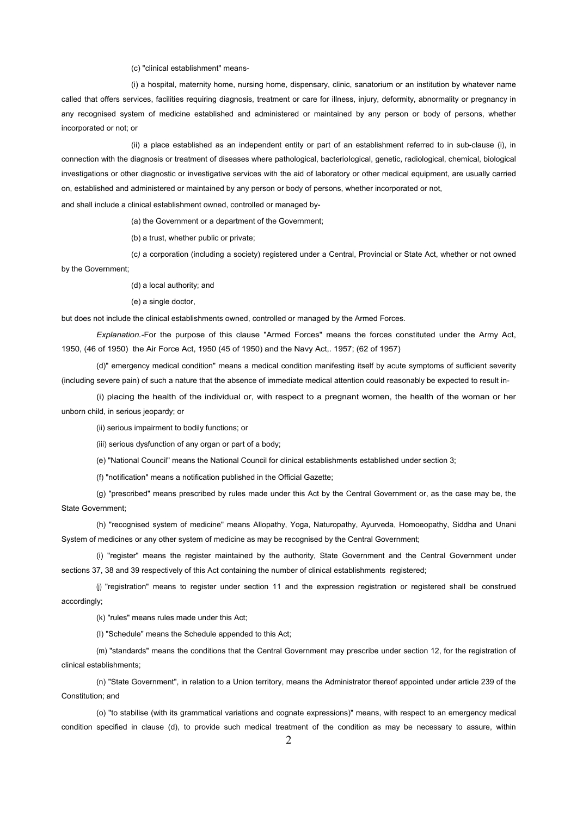(c) "clinical establishment" means-

(i) a hospital, maternity home, nursing home, dispensary, clinic, sanatorium or an institution by whatever name called that offers services, facilities requiring diagnosis, treatment or care for illness, injury, deformity, abnormality or pregnancy in any recognised system of medicine established and administered or maintained by any person or body of persons, whether incorporated or not; or

(ii) a place established as an independent entity or part of an establishment referred to in sub-clause (i), in connection with the diagnosis or treatment of diseases where pathological, bacteriological, genetic, radiological, chemical, biological investigations or other diagnostic or investigative services with the aid of laboratory or other medical equipment, are usually carried on, established and administered or maintained by any person or body of persons, whether incorporated or not,

and shall include a clinical establishment owned, controlled or managed by-

(a) the Government or a department of the Government;

(b) a trust, whether public or private;

 (c*)* a corporation (including a society) registered under a Central, Provincial or State Act, whether or not owned by the Government;

(d) a local authority; and

(e) a single doctor,

but does not include the clinical establishments owned, controlled or managed by the Armed Forces.

*Explanation.-*For the purpose of this clause "Armed Forces" means the forces constituted under the Army Act, 1950, (46 of 1950) the Air Force Act, 1950 (45 of 1950) and the Navy Act,. 1957; (62 of 1957)

(d)" emergency medical condition" means a medical condition manifesting itself by acute symptoms of sufficient severity (including severe pain) of such a nature that the absence of immediate medical attention could reasonably be expected to result in-

(i) placing the health of the individual or, with respect to a pregnant women, the health of the woman or her unborn child, in serious jeopardy; or

(ii) serious impairment to bodily functions; or

(iii) serious dysfunction of any organ or part of a body;

(e) "National Council" means the National Council for clinical establishments established under section 3;

(f) "notification" means a notification published in the Official Gazette;

(g) "prescribed" means prescribed by rules made under this Act by the Central Government or, as the case may be, the State Government;

(h) "recognised system of medicine" means Allopathy, Yoga, Naturopathy, Ayurveda, Homoeopathy, Siddha and Unani System of medicines or any other system of medicine as may be recognised by the Central Government;

(i) "register" means the register maintained by the authority, State Government and the Central Government under sections 37, 38 and 39 respectively of this Act containing the number of clinical establishments registered;

 (j) "registration" means to register under section 11 and the expression registration or registered shall be construed accordingly;

(k) "rules" means rules made under this Act;

(I) "Schedule" means the Schedule appended to this Act;

 (m) "standards" means the conditions that the Central Government may prescribe under section 12, for the registration of clinical establishments;

(n) "State Government", in relation to a Union territory, means the Administrator thereof appointed under article 239 of the Constitution; and

(o) "to stabilise (with its grammatical variations and cognate expressions)" means, with respect to an emergency medical condition specified in clause (d), to provide such medical treatment of the condition as may be necessary to assure, within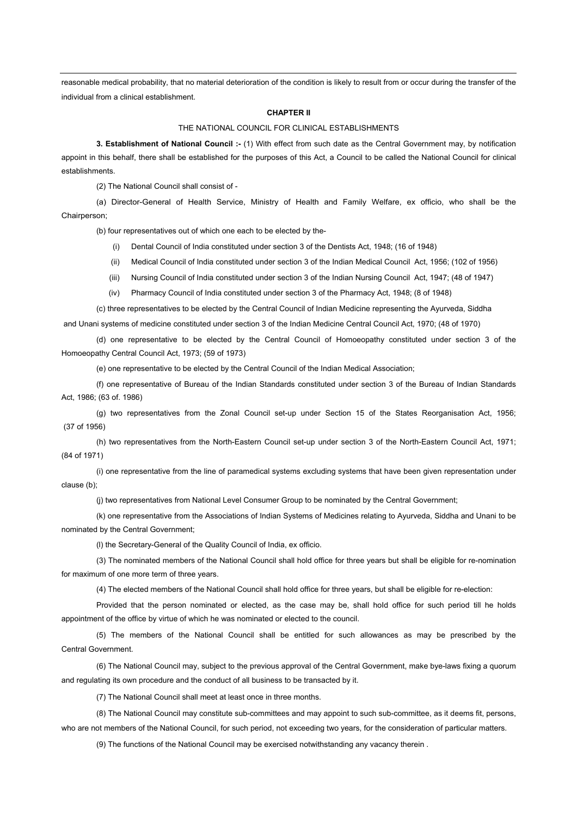reasonable medical probability, that no material deterioration of the condition is likely to result from or occur during the transfer of the individual from a clinical establishment.

# **CHAPTER II**

#### THE NATIONAL COUNCIL FOR CLINICAL ESTABLISHMENTS

**3. Establishment of National Council :-** (1) With effect from such date as the Central Government may, by notification appoint in this behalf, there shall be established for the purposes of this Act, a Council to be called the National Council for clinical establishments.

(2) The National Council shall consist of -

 (a) Director-General of Health Service, Ministry of Health and Family Welfare, ex officio, who shall be the Chairperson;

(b) four representatives out of which one each to be elected by the-

- (i) Dental Council of India constituted under section 3 of the Dentists Act, 1948; (16 of 1948)
- (ii) Medical Council of India constituted under section 3 of the Indian Medical Council Act, 1956; (102 of 1956)
- (iii) Nursing Council of India constituted under section 3 of the Indian Nursing Council Act, 1947; (48 of 1947)
- (iv) Pharmacy Council of India constituted under section 3 of the Pharmacy Act, 1948; (8 of 1948)

(c) three representatives to be elected by the Central Council of Indian Medicine representing the Ayurveda, Siddha

and Unani systems of medicine constituted under section 3 of the Indian Medicine Central Council Act, 1970; (48 of 1970)

(d) one representative to be elected by the Central Council of Homoeopathy constituted under section 3 of the Homoeopathy Central Council Act, 1973; (59 of 1973)

(e) one representative to be elected by the Central Council of the Indian Medical Association;

(f) one representative of Bureau of the Indian Standards constituted under section 3 of the Bureau of Indian Standards Act, 1986; (63 of. 1986)

(g) two representatives from the Zonal Council set-up under Section 15 of the States Reorganisation Act, 1956; (37 of 1956)

(h) two representatives from the North-Eastern Council set-up under section 3 of the North-Eastern Council Act, 1971; (84 of 1971)

(i) one representative from the line of paramedical systems excluding systems that have been given representation under clause (b);

(j) two representatives from National Level Consumer Group to be nominated by the Central Government;

(k) one representative from the Associations of Indian Systems of Medicines relating to Ayurveda, Siddha and Unani to be nominated by the Central Government;

(l) the Secretary-General of the Quality Council of India, ex officio.

 (3) The nominated members of the National Council shall hold office for three years but shall be eligible for re-nomination for maximum of one more term of three years.

(4) The elected members of the National Council shall hold office for three years, but shall be eligible for re-election:

Provided that the person nominated or elected, as the case may be, shall hold office for such period till he holds appointment of the office by virtue of which he was nominated or elected to the council.

(5) The members of the National Council shall be entitled for such allowances as may be prescribed by the Central Government.

(6) The National Council may, subject to the previous approval of the Central Government, make bye-laws fixing a quorum and regulating its own procedure and the conduct of all business to be transacted by it.

(7) The National Council shall meet at least once in three months.

(8) The National Council may constitute sub-committees and may appoint to such sub-committee, as it deems fit, persons, who are not members of the National Council, for such period, not exceeding two years, for the consideration of particular matters.

(9) The functions of the National Council may be exercised notwithstanding any vacancy therein .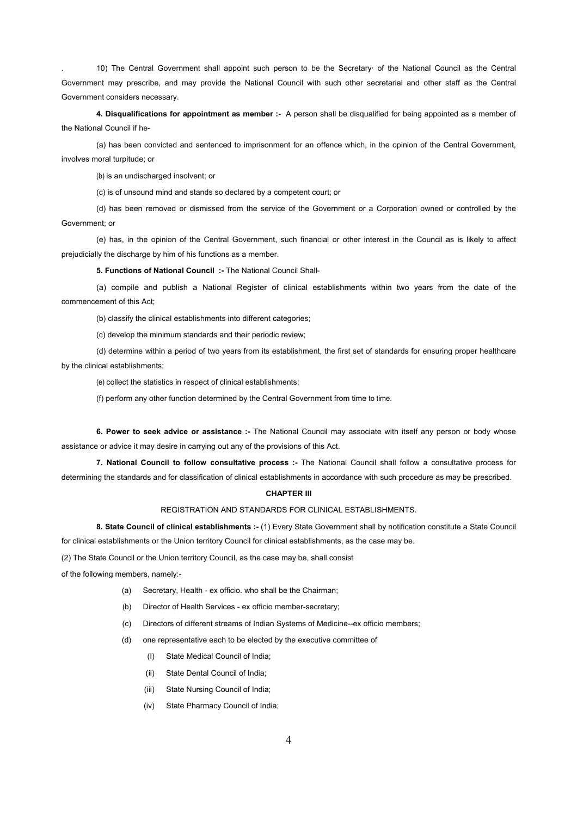. 10) The Central Government shall appoint such person to be the Secretary· of the National Council as the Central Government may prescribe, and may provide the National Council with such other secretarial and other staff as the Central Government considers necessary.

**4. Disqualifications for appointment as member :-** A person shall be disqualified for being appointed as a member of the National Council if he-

(a) has been convicted and sentenced to imprisonment for an offence which, in the opinion of the Central Government, involves moral turpitude; or

(b) is an undischarged insolvent; or

(c) is of unsound mind and stands so declared by a competent court; or

(d) has been removed or dismissed from the service of the Government or a Corporation owned or controlled by the Government; or

(e) has, in the opinion of the Central Government, such financial or other interest in the Council as is likely to affect prejudicially the discharge by him of his functions as a member.

**5. Functions of National Council :-** The National Council Shall-

(a) compile and publish a National Register of clinical establishments within two years from the date of the commencement of this Act;

(b) classify the clinical establishments into different categories;

(c) develop the minimum standards and their periodic review;

(d) determine within a period of two years from its establishment, the first set of standards for ensuring proper healthcare by the clinical establishments;

(e) collect the statistics in respect of clinical establishments;

(f) perform any other function determined by the Central Government from time to time.

**6. Power to seek advice or assistance :-** The National Council may associate with itself any person or body whose assistance or advice it may desire in carrying out any of the provisions of this Act.

**7. National Council to follow consultative process :-** The National Council shall follow a consultative process for determining the standards and for classification of clinical establishments in accordance with such procedure as may be prescribed.

## **CHAPTER III**

# REGISTRATION AND STANDARDS FOR CLINICAL ESTABLISHMENTS.

**8. State Council of clinical establishments :-** (1) Every State Government shall by notification constitute a State Council for clinical establishments or the Union territory Council for clinical establishments, as the case may be.

(2) The State Council or the Union territory Council, as the case may be, shall consist

of the following members, namely:-

- (a) Secretary, Health ex officio. who shall be the Chairman;
- (b) Director of Health Services ex officio member-secretary;
- (c) Directors of different streams of Indian Systems of Medicine--ex officio members;
- (d) one representative each to be elected by the executive committee of
	- (I) State Medical Council of India;
	- (ii) State Dental Council of India;
	- (iii) State Nursing Council of India;
	- (iv) State Pharmacy Council of India;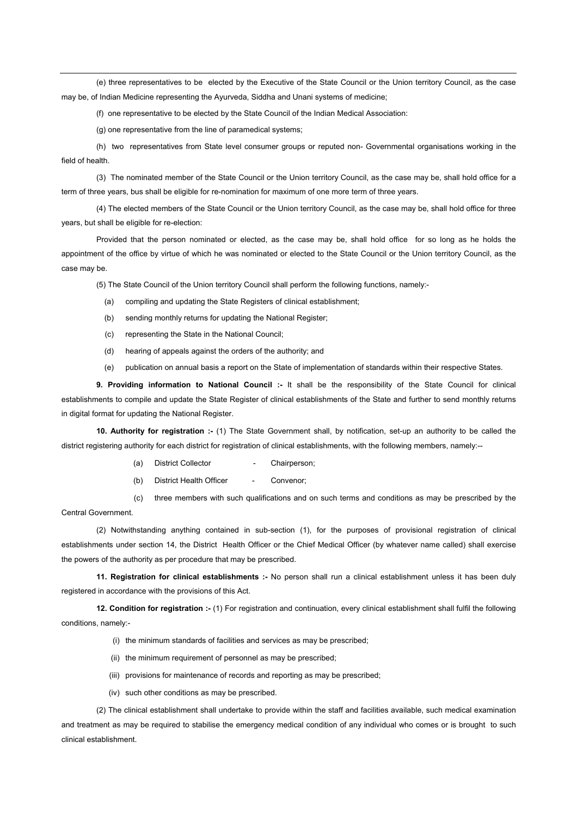(e) three representatives to be elected by the Executive of the State Council or the Union territory Council, as the case may be, of Indian Medicine representing the Ayurveda, Siddha and Unani systems of medicine;

(f) one representative to be elected by the State Council of the Indian Medical Association:

(g) one representative from the line of paramedical systems;

 (h) two representatives from State level consumer groups or reputed non- Governmental organisations working in the field of health.

 (3) The nominated member of the State Council or the Union territory Council, as the case may be, shall hold office for a term of three years, bus shall be eligible for re-nomination for maximum of one more term of three years.

 (4) The elected members of the State Council or the Union territory Council, as the case may be, shall hold office for three years, but shall be eligible for re-election:

 Provided that the person nominated or elected, as the case may be, shall hold office for so long as he holds the appointment of the office by virtue of which he was nominated or elected to the State Council or the Union territory Council, as the case may be.

(5) The State Council of the Union territory Council shall perform the following functions, namely:-

- (a) compiling and updating the State Registers of clinical establishment;
- (b) sending monthly returns for updating the National Register;
- (c) representing the State in the National Council;
- (d) hearing of appeals against the orders of the authority; and
- (e) publication on annual basis a report on the State of implementation of standards within their respective States.

 **9. Providing information to National Council :-** It shall be the responsibility of the State Council for clinical establishments to compile and update the State Register of clinical establishments of the State and further to send monthly returns in digital format for updating the National Register.

**10. Authority for registration :-** (1) The State Government shall, by notification, set-up an authority to be called the district registering authority for each district for registration of clinical establishments, with the following members, namely:--

- (a) District Collector Chairperson:
- (b) District Health Officer Convenor:

(c) three members with such qualifications and on such terms and conditions as may be prescribed by the Central Government.

 (2) Notwithstanding anything contained in sub-section (1), for the purposes of provisional registration of clinical establishments under section 14, the District Health Officer or the Chief Medical Officer (by whatever name called) shall exercise the powers of the authority as per procedure that may be prescribed.

**11. Registration for clinical establishments :-** No person shall run a clinical establishment unless it has been duly registered in accordance with the provisions of this Act.

**12. Condition for registration :-** (1) For registration and continuation, every clinical establishment shall fulfil the following conditions, namely:-

- (i) the minimum standards of facilities and services as may be prescribed;
- (ii) the minimum requirement of personnel as may be prescribed;
- (iii) provisions for maintenance of records and reporting as may be prescribed;
- (iv) such other conditions as may be prescribed.

 (2) The clinical establishment shall undertake to provide within the staff and facilities available, such medical examination and treatment as may be required to stabilise the emergency medical condition of any individual who comes or is brought to such clinical establishment.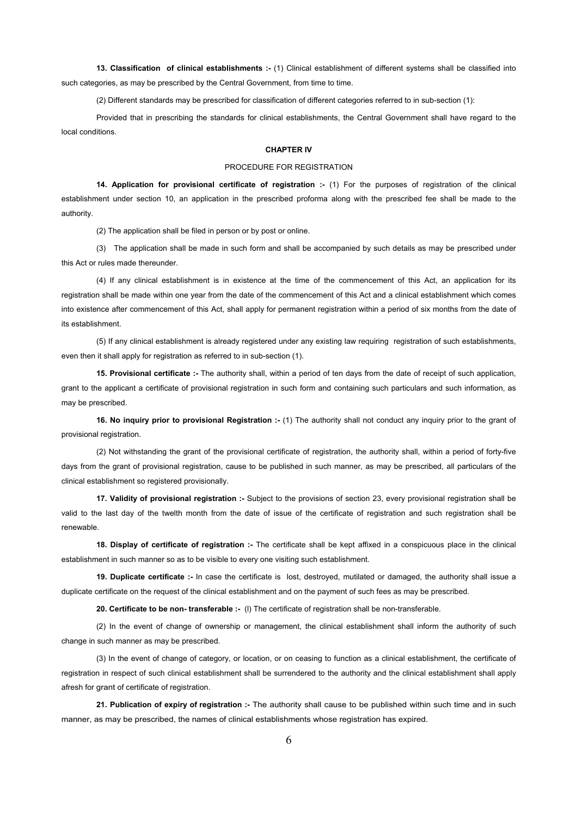**13. Classification of clinical establishments :-** (1) Clinical establishment of different systems shall be classified into such categories, as may be prescribed by the Central Government, from time to time.

(2) Different standards may be prescribed for classification of different categories referred to in sub-section (1):

Provided that in prescribing the standards for clinical establishments, the Central Government shall have regard to the local conditions.

#### **CHAPTER IV**

# PROCEDURE FOR REGISTRATION

**14. Application for provisional certificate of registration :-** (1) For the purposes of registration of the clinical establishment under section 10, an application in the prescribed proforma along with the prescribed fee shall be made to the authority.

(2) The application shall be filed in person or by post or online.

(3) The application shall be made in such form and shall be accompanied by such details as may be prescribed under this Act or rules made thereunder.

(4) If any clinical establishment is in existence at the time of the commencement of this Act, an application for its registration shall be made within one year from the date of the commencement of this Act and a clinical establishment which comes into existence after commencement of this Act, shall apply for permanent registration within a period of six months from the date of its establishment.

(5) If any clinical establishment is already registered under any existing law requiring registration of such establishments, even then it shall apply for registration as referred to in sub-section (1).

**15. Provisional certificate :-** The authority shall, within a period of ten days from the date of receipt of such application, grant to the applicant a certificate of provisional registration in such form and containing such particulars and such information, as may be prescribed.

**16. No inquiry prior to provisional Registration :- (1)** The authority shall not conduct any inquiry prior to the grant of provisional registration.

(2) Not withstanding the grant of the provisional certificate of registration, the authority shall, within a period of forty-five days from the grant of provisional registration, cause to be published in such manner, as may be prescribed, all particulars of the clinical establishment so registered provisionally.

**17. Validity of provisional registration :-** Subject to the provisions of section 23, every provisional registration shall be valid to the last day of the twelth month from the date of issue of the certificate of registration and such registration shall be renewable.

**18. Display of certificate of registration :-** The certificate shall be kept affixed in a conspicuous place in the clinical establishment in such manner so as to be visible to every one visiting such establishment.

**19. Duplicate certificate :-** In case the certificate is lost, destroyed, mutilated or damaged, the authority shall issue a duplicate certificate on the request of the clinical establishment and on the payment of such fees as may be prescribed.

**20. Certificate to be non- transferable :-** (l) The certificate of registration shall be non-transferable.

(2) In the event of change of ownership or management, the clinical establishment shall inform the authority of such change in such manner as may be prescribed.

(3) In the event of change of category, or location, or on ceasing to function as a clinical establishment, the certificate of registration in respect of such clinical establishment shall be surrendered to the authority and the clinical establishment shall apply afresh for grant of certificate of registration.

**21. Publication of expiry of registration :-** The authority shall cause to be published within such time and in such manner, as may be prescribed, the names of clinical establishments whose registration has expired.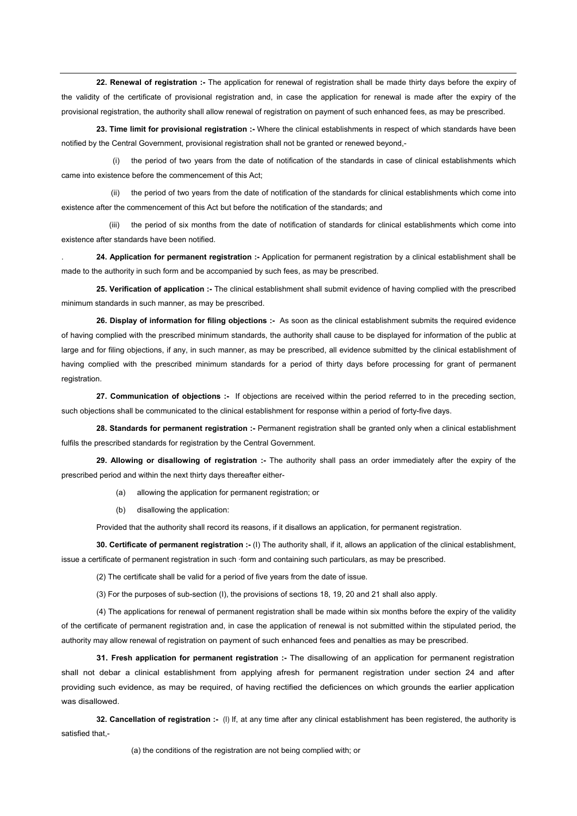**22. Renewal of registration :-** The application for renewal of registration shall be made thirty days before the expiry of the validity of the certificate of provisional registration and, in case the application for renewal is made after the expiry of the provisional registration, the authority shall allow renewal of registration on payment of such enhanced fees, as may be prescribed.

**23. Time limit for provisional registration :-** Where the clinical establishments in respect of which standards have been notified by the Central Government, provisional registration shall not be granted or renewed beyond,-

(i) the period of two years from the date of notification of the standards in case of clinical establishments which came into existence before the commencement of this Act;

(ii) the period of two years from the date of notification of the standards for clinical establishments which come into existence after the commencement of this Act but before the notification of the standards; and

(iii) the period of six months from the date of notification of standards for clinical establishments which come into existence after standards have been notified.

. **24. Application for permanent registration :-** Application for permanent registration by a clinical establishment shall be made to the authority in such form and be accompanied by such fees, as may be prescribed.

**25. Verification of application :-** The clinical establishment shall submit evidence of having complied with the prescribed minimum standards in such manner, as may be prescribed.

**26. Display of information for filing objections :-** As soon as the clinical establishment submits the required evidence of having complied with the prescribed minimum standards, the authority shall cause to be displayed for information of the public at large and for filing objections, if any, in such manner, as may be prescribed, all evidence submitted by the clinical establishment of having complied with the prescribed minimum standards for a period of thirty days before processing for grant of permanent registration.

**27. Communication of objections :-** If objections are received within the period referred to in the preceding section, such objections shall be communicated to the clinical establishment for response within a period of forty-five days.

**28. Standards for permanent registration :-** Permanent registration shall be granted only when a clinical establishment fulfils the prescribed standards for registration by the Central Government.

**29. Allowing or disallowing of registration :-** The authority shall pass an order immediately after the expiry of the prescribed period and within the next thirty days thereafter either-

- (a) allowing the application for permanent registration; or
- (b) disallowing the application:

Provided that the authority shall record its reasons, if it disallows an application, for permanent registration.

**30. Certificate of permanent registration :-** (I) The authority shall, if it, allows an application of the clinical establishment, issue a certificate of permanent registration in such ·form and containing such particulars, as may be prescribed.

(2) The certificate shall be valid for a period of five years from the date of issue.

(3) For the purposes of sub-section (I), the provisions of sections 18, 19, 20 and 21 shall also apply.

 (4) The applications for renewal of permanent registration shall be made within six months before the expiry of the validity of the certificate of permanent registration and, in case the application of renewal is not submitted within the stipulated period, the authority may allow renewal of registration on payment of such enhanced fees and penalties as may be prescribed.

**31. Fresh application for permanent registration :-** The disallowing of an application for permanent registration shall not debar a clinical establishment from applying afresh for permanent registration under section 24 and after providing such evidence, as may be required, of having rectified the deficiences on which grounds the earlier application was disallowed.

**32. Cancellation of registration :-** (I) If, at any time after any clinical establishment has been registered, the authority is satisfied that,-

(a) the conditions of the registration are not being complied with; or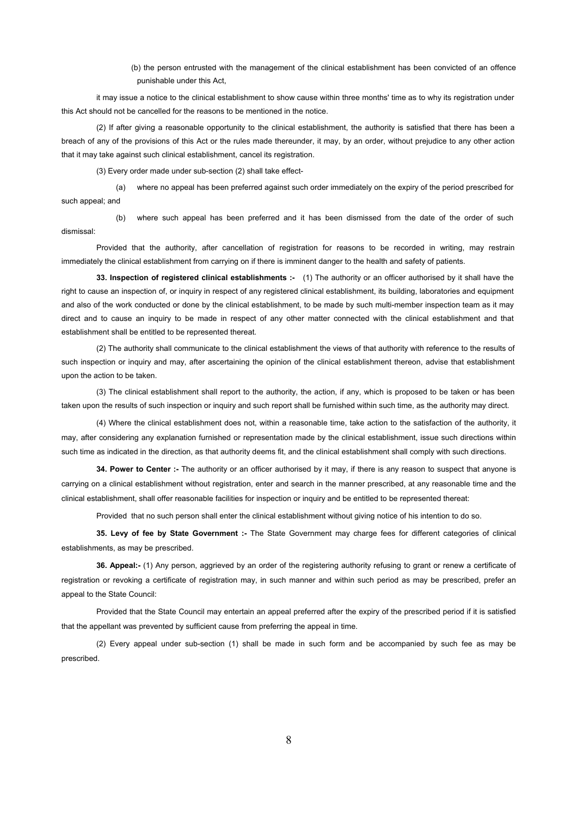(b) the person entrusted with the management of the clinical establishment has been convicted of an offence punishable under this Act,

it may issue a notice to the clinical establishment to show cause within three months' time as to why its registration under this Act should not be cancelled for the reasons to be mentioned in the notice.

(2) If after giving a reasonable opportunity to the clinical establishment, the authority is satisfied that there has been a breach of any of the provisions of this Act or the rules made thereunder, it may, by an order, without prejudice to any other action that it may take against such clinical establishment, cancel its registration.

(3) Every order made under sub-section (2) shall take effect-

(a) where no appeal has been preferred against such order immediately on the expiry of the period prescribed for such appeal; and

(b) where such appeal has been preferred and it has been dismissed from the date of the order of such dismissal:

Provided that the authority, after cancellation of registration for reasons to be recorded in writing, may restrain immediately the clinical establishment from carrying on if there is imminent danger to the health and safety of patients.

**33. Inspection of registered clinical establishments :-** (1) The authority or an officer authorised by it shall have the right to cause an inspection of, or inquiry in respect of any registered clinical establishment, its building, laboratories and equipment and also of the work conducted or done by the clinical establishment, to be made by such multi-member inspection team as it may direct and to cause an inquiry to be made in respect of any other matter connected with the clinical establishment and that establishment shall be entitled to be represented thereat.

(2) The authority shall communicate to the clinical establishment the views of that authority with reference to the results of such inspection or inquiry and may, after ascertaining the opinion of the clinical establishment thereon, advise that establishment upon the action to be taken.

(3) The clinical establishment shall report to the authority, the action, if any, which is proposed to be taken or has been taken upon the results of such inspection or inquiry and such report shall be furnished within such time, as the authority may direct.

(4) Where the clinical establishment does not, within a reasonable time, take action to the satisfaction of the authority, it may, after considering any explanation furnished or representation made by the clinical establishment, issue such directions within such time as indicated in the direction, as that authority deems fit, and the clinical establishment shall comply with such directions.

**34. Power to Center :-** The authority or an officer authorised by it may, if there is any reason to suspect that anyone is carrying on a clinical establishment without registration, enter and search in the manner prescribed, at any reasonable time and the clinical establishment, shall offer reasonable facilities for inspection or inquiry and be entitled to be represented thereat:

Provided that no such person shall enter the clinical establishment without giving notice of his intention to do so.

**35. Levy of fee by State Government :-** The State Government may charge fees for different categories of clinical establishments, as may be prescribed.

**36. Appeal:-** (1) Any person, aggrieved by an order of the registering authority refusing to grant or renew a certificate of registration or revoking a certificate of registration may, in such manner and within such period as may be prescribed, prefer an appeal to the State Council:

Provided that the State Council may entertain an appeal preferred after the expiry of the prescribed period if it is satisfied that the appellant was prevented by sufficient cause from preferring the appeal in time.

(2) Every appeal under sub-section (1) shall be made in such form and be accompanied by such fee as may be prescribed.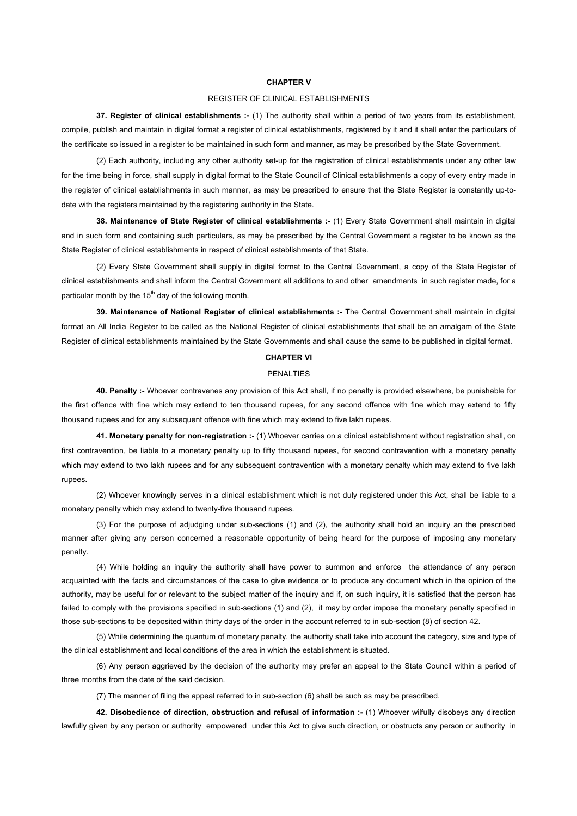#### **CHAPTER V**

## REGISTER OF CLINICAL ESTABLISHMENTS

**37. Register of clinical establishments :-** (1) The authority shall within a period of two years from its establishment, compile, publish and maintain in digital format a register of clinical establishments, registered by it and it shall enter the particulars of the certificate so issued in a register to be maintained in such form and manner, as may be prescribed by the State Government.

 (2) Each authority, including any other authority set-up for the registration of clinical establishments under any other law for the time being in force, shall supply in digital format to the State Council of Clinical establishments a copy of every entry made in the register of clinical establishments in such manner, as may be prescribed to ensure that the State Register is constantly up-todate with the registers maintained by the registering authority in the State.

**38. Maintenance of State Register of clinical establishments :-** (1) Every State Government shall maintain in digital and in such form and containing such particulars, as may be prescribed by the Central Government a register to be known as the State Register of clinical establishments in respect of clinical establishments of that State.

 (2) Every State Government shall supply in digital format to the Central Government, a copy of the State Register of clinical establishments and shall inform the Central Government all additions to and other amendments in such register made, for a particular month by the  $15<sup>th</sup>$  day of the following month.

**39. Maintenance of National Register of clinical establishments :-** The Central Government shall maintain in digital format an All India Register to be called as the National Register of clinical establishments that shall be an amalgam of the State Register of clinical establishments maintained by the State Governments and shall cause the same to be published in digital format.

## **CHAPTER VI**

#### PENALTIES

**40. Penalty :-** Whoever contravenes any provision of this Act shall, if no penalty is provided elsewhere, be punishable for the first offence with fine which may extend to ten thousand rupees, for any second offence with fine which may extend to fifty thousand rupees and for any subsequent offence with fine which may extend to five lakh rupees.

**41. Monetary penalty for non-registration :-** (1) Whoever carries on a clinical establishment without registration shall, on first contravention, be liable to a monetary penalty up to fifty thousand rupees, for second contravention with a monetary penalty which may extend to two lakh rupees and for any subsequent contravention with a monetary penalty which may extend to five lakh rupees.

 (2) Whoever knowingly serves in a clinical establishment which is not duly registered under this Act, shall be liable to a monetary penalty which may extend to twenty-five thousand rupees.

 (3) For the purpose of adjudging under sub-sections (1) and (2), the authority shall hold an inquiry an the prescribed manner after giving any person concerned a reasonable opportunity of being heard for the purpose of imposing any monetary penalty.

 (4) While holding an inquiry the authority shall have power to summon and enforce the attendance of any person acquainted with the facts and circumstances of the case to give evidence or to produce any document which in the opinion of the authority, may be useful for or relevant to the subject matter of the inquiry and if, on such inquiry, it is satisfied that the person has failed to comply with the provisions specified in sub-sections (1) and (2), it may by order impose the monetary penalty specified in those sub-sections to be deposited within thirty days of the order in the account referred to in sub-section (8) of section 42.

 (5) While determining the quantum of monetary penalty, the authority shall take into account the category, size and type of the clinical establishment and local conditions of the area in which the establishment is situated.

 (6) Any person aggrieved by the decision of the authority may prefer an appeal to the State Council within a period of three months from the date of the said decision.

(7) The manner of filing the appeal referred to in sub-section (6) shall be such as may be prescribed.

**42. Disobedience of direction, obstruction and refusal of information :-** (1) Whoever wilfully disobeys any direction lawfully given by any person or authority empowered under this Act to give such direction, or obstructs any person or authority in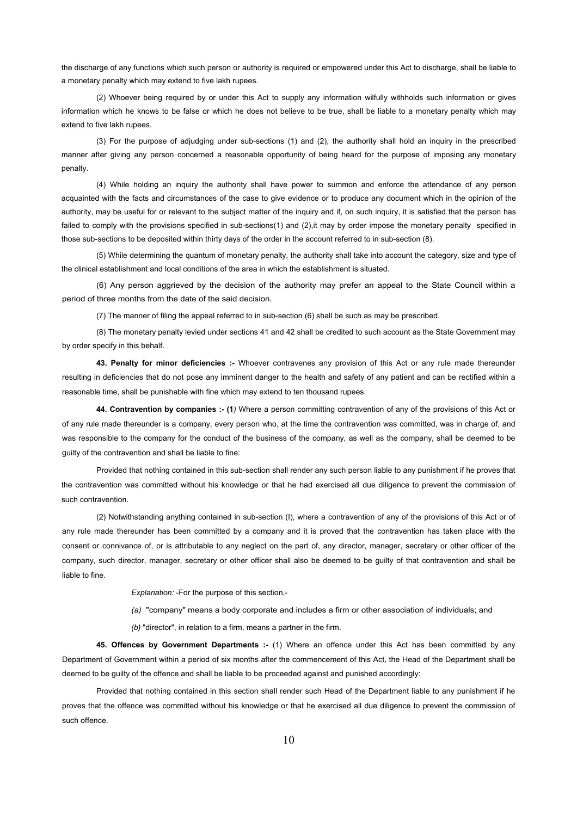the discharge of any functions which such person or authority is required or empowered under this Act to discharge, shall be liable to a monetary penalty which may extend to five lakh rupees.

(2) Whoever being required by or under this Act to supply any information wilfully withholds such information or gives information which he knows to be false or which he does not believe to be true, shall be liable to a monetary penalty which may extend to five lakh rupees.

(3) For the purpose of adjudging under sub-sections (1) and (2), the authority shall hold an inquiry in the prescribed manner after giving any person concerned a reasonable opportunity of being heard for the purpose of imposing any monetary penalty.

(4) While holding an inquiry the authority shall have power to summon and enforce the attendance of any person acquainted with the facts and circumstances of the case to give evidence or to produce any document which in the opinion of the authority, may be useful for or relevant to the subject matter of the inquiry and if, on such inquiry, it is satisfied that the person has failed to comply with the provisions specified in sub-sections(1) and (2), it may by order impose the monetary penalty specified in those sub-sections to be deposited within thirty days of the order in the account referred to in sub-section (8).

(5) While determining the quantum of monetary penalty, the authority shall take into account the category, size and type of the clinical establishment and local conditions of the area in which the establishment is situated.

(6) Any person aggrieved by the decision of the authority may prefer an appeal to the State Council within a period of three months from the date of the said decision.

(7) The manner of filing the appeal referred to in sub-section (6) shall be such as may be prescribed.

(8) The monetary penalty levied under sections 41 and 42 shall be credited to such account as the State Government may by order specify in this behalf.

**43. Penalty for minor deficiencies :-** Whoever contravenes any provision of this Act or any rule made thereunder resulting in deficiencies that do not pose any imminent danger to the health and safety of any patient and can be rectified within a reasonable time, shall be punishable with fine which may extend to ten thousand rupees.

**44. Contravention by companies :- (1***)* Where a person committing contravention of any of the provisions of this Act or of any rule made thereunder is a company, every person who, at the time the contravention was committed, was in charge of, and was responsible to the company for the conduct of the business of the company, as well as the company, shall be deemed to be guilty of the contravention and shall be liable to fine:

Provided that nothing contained in this sub-section shall render any such person liable to any punishment if he proves that the contravention was committed without his knowledge or that he had exercised all due diligence to prevent the commission of such contravention.

(2) Notwithstanding anything contained in sub-section (I), where a contravention of any of the provisions of this Act or of any rule made thereunder has been committed by a company and it is proved that the contravention has taken place with the consent or connivance of, or is attributable to any neglect on the part of, any director, manager, secretary or other officer of the company, such director, manager, secretary or other officer shall also be deemed to be guilty of that contravention and shall be liable to fine.

 *Explanation:* -For the purpose of this section,-

 *(a)* "company" means a body corporate and includes a firm or other association of individuals; and

 *(b)* "director", in relation to a firm, means a partner in the firm.

**45. Offences by Government Departments :-** (1) Where an offence under this Act has been committed by any Department of Government within a period of six months after the commencement of this Act, the Head of the Department shall be deemed to be guilty of the offence and shall be liable to be proceeded against and punished accordingly:

Provided that nothing contained in this section shall render such Head of the Department liable to any punishment if he proves that the offence was committed without his knowledge or that he exercised all due diligence to prevent the commission of such offence.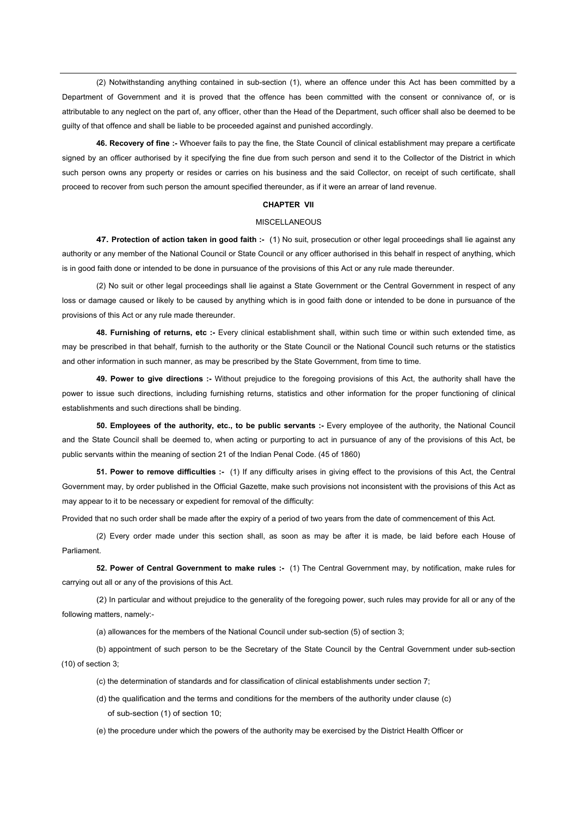(2) Notwithstanding anything contained in sub-section (1), where an offence under this Act has been committed by a Department of Government and it is proved that the offence has been committed with the consent or connivance of, or is attributable to any neglect on the part of, any officer, other than the Head of the Department, such officer shall also be deemed to be guilty of that offence and shall be liable to be proceeded against and punished accordingly.

**46. Recovery of fine :-** Whoever fails to pay the fine, the State Council of clinical establishment may prepare a certificate signed by an officer authorised by it specifying the fine due from such person and send it to the Collector of the District in which such person owns any property or resides or carries on his business and the said Collector, on receipt of such certificate, shall proceed to recover from such person the amount specified thereunder, as if it were an arrear of land revenue.

## **CHAPTER VII**

## **MISCELLANEOUS**

**47. Protection of action taken in good faith :-** (1) No suit, prosecution or other legal proceedings shall lie against any authority or any member of the National Council or State Council or any officer authorised in this behalf in respect of anything, which is in good faith done or intended to be done in pursuance of the provisions of this Act or any rule made thereunder.

 (2) No suit or other legal proceedings shall lie against a State Government or the Central Government in respect of any loss or damage caused or likely to be caused by anything which is in good faith done or intended to be done in pursuance of the provisions of this Act or any rule made thereunder.

**48. Furnishing of returns, etc :-** Every clinical establishment shall, within such time or within such extended time, as may be prescribed in that behalf, furnish to the authority or the State Council or the National Council such returns or the statistics and other information in such manner, as may be prescribed by the State Government, from time to time.

**49. Power to give directions :-** Without prejudice to the foregoing provisions of this Act, the authority shall have the power to issue such directions, including furnishing returns, statistics and other information for the proper functioning of clinical establishments and such directions shall be binding.

**50. Employees of the authority, etc., to be public servants :-** Every employee of the authority, the National Council and the State Council shall be deemed to, when acting or purporting to act in pursuance of any of the provisions of this Act, be public servants within the meaning of section 21 of the Indian Penal Code. (45 of 1860)

**51. Power to remove difficulties :-** (1) If any difficulty arises in giving effect to the provisions of this Act, the Central Government may, by order published in the Official Gazette, make such provisions not inconsistent with the provisions of this Act as may appear to it to be necessary or expedient for removal of the difficulty:

Provided that no such order shall be made after the expiry of a period of two years from the date of commencement of this Act.

 (2) Every order made under this section shall, as soon as may be after it is made, be laid before each House of Parliament.

**52. Power of Central Government to make rules :-** (1) The Central Government may, by notification, make rules for carrying out all or any of the provisions of this Act.

 (2) In particular and without prejudice to the generality of the foregoing power, such rules may provide for all or any of the following matters, namely:-

(a) allowances for the members of the National Council under sub-section (5) of section 3;

(b) appointment of such person to be the Secretary of the State Council by the Central Government under sub-section (10) of section 3;

(c) the determination of standards and for classification of clinical establishments under section 7;

(d) the qualification and the terms and conditions for the members of the authority under clause (c) of sub-section (1) of section 10;

(e) the procedure under which the powers of the authority may be exercised by the District Health Officer or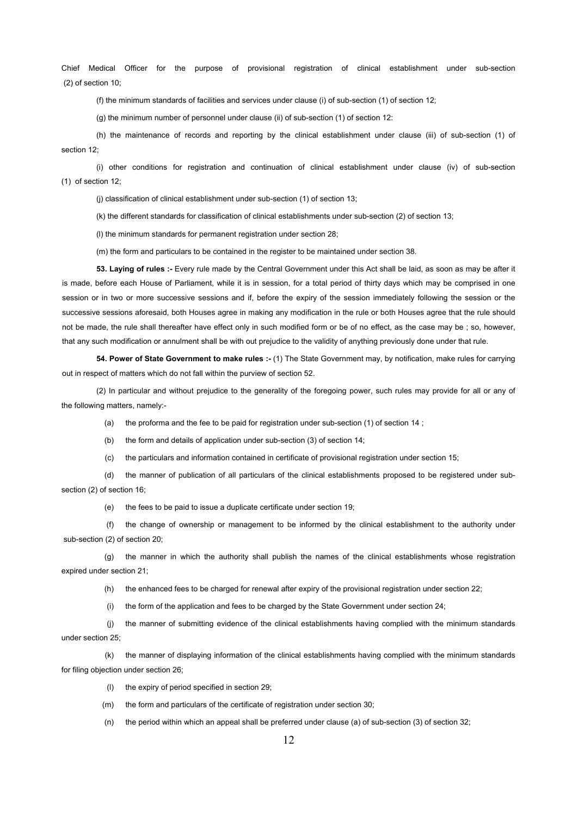Chief Medical Officer for the purpose of provisional registration of clinical establishment under sub-section (2) of section 10;

(f) the minimum standards of facilities and services under clause (i) of sub-section (1) of section 12;

(g) the minimum number of personnel under clause (ii) of sub-section (1) of section 12:

(h) the maintenance of records and reporting by the clinical establishment under clause (iii) of sub-section (1) of section 12;

(i) other conditions for registration and continuation of clinical establishment under clause (iv) of sub-section (1) of section 12;

(j) classification of clinical establishment under sub-section (1) of section 13;

(k) the different standards for classification of clinical establishments under sub-section (2) of section 13;

(l) the minimum standards for permanent registration under section 28;

(m) the form and particulars to be contained in the register to be maintained under section 38.

**53. Laying of rules :-** Every rule made by the Central Government under this Act shall be laid, as soon as may be after it is made, before each House of Parliament, while it is in session, for a total period of thirty days which may be comprised in one session or in two or more successive sessions and if, before the expiry of the session immediately following the session or the successive sessions aforesaid, both Houses agree in making any modification in the rule or both Houses agree that the rule should not be made, the rule shall thereafter have effect only in such modified form or be of no effect, as the case may be ; so, however, that any such modification or annulment shall be with out prejudice to the validity of anything previously done under that rule.

**54. Power of State Government to make rules :-** (1) The State Government may, by notification, make rules for carrying out in respect of matters which do not fall within the purview of section 52.

(2) In particular and without prejudice to the generality of the foregoing power, such rules may provide for all or any of the following matters, namely:-

(a) the proforma and the fee to be paid for registration under sub-section (1) of section 14 ;

(b) the form and details of application under sub-section (3) of section 14;

(c) the particulars and information contained in certificate of provisional registration under section 15;

(d) the manner of publication of all particulars of the clinical establishments proposed to be registered under subsection (2) of section 16;

(e) the fees to be paid to issue a duplicate certificate under section 19;

(f) the change of ownership or management to be informed by the clinical establishment to the authority under sub-section (2) of section 20;

(g) the manner in which the authority shall publish the names of the clinical establishments whose registration expired under section 21;

(h) the enhanced fees to be charged for renewal after expiry of the provisional registration under section 22;

(i) the form of the application and fees to be charged by the State Government under section 24;

(j) the manner of submitting evidence of the clinical establishments having complied with the minimum standards under section 25;

(k) the manner of displaying information of the clinical establishments having complied with the minimum standards for filing objection under section 26;

(l) the expiry of period specified in section 29;

(m) the form and particulars of the certificate of registration under section 30;

(n) the period within which an appeal shall be preferred under clause (a) of sub-section (3) of section 32;